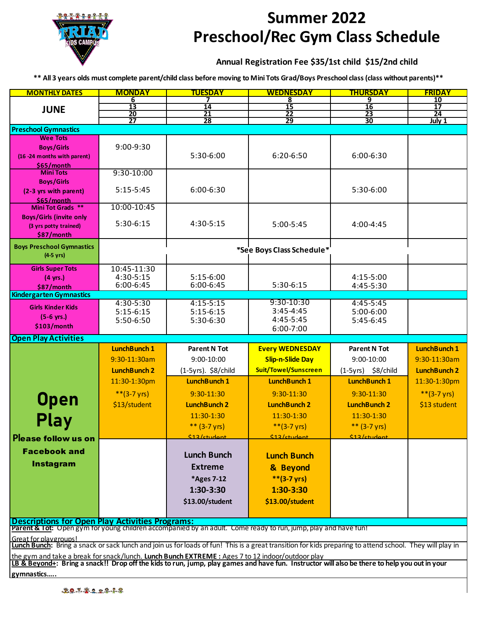

## **Summer 2022 Preschool/Rec Gym Class Schedule**

## **Annual Registration Fee \$35/1st child \$15/2nd child**

**\*\* All 3 years olds must complete parent/child class before moving to Mini Tots Grad/Boys Preschool class (class without parents)\*\***

| <b>MONTHLY DATES</b>                                                                                                                                              | <b>MONDAY</b>                                                                                   | <b>TUESDAY</b>           | <b>WEDNESDAY</b>           | <b>THURSDAY</b>                        | <b>FRIDAY</b>                |  |  |  |
|-------------------------------------------------------------------------------------------------------------------------------------------------------------------|-------------------------------------------------------------------------------------------------|--------------------------|----------------------------|----------------------------------------|------------------------------|--|--|--|
|                                                                                                                                                                   | 6<br>13                                                                                         | 14                       | 8<br>15                    | 9<br>16                                | <u>10</u><br>$\overline{17}$ |  |  |  |
| <b>JUNE</b>                                                                                                                                                       | 20                                                                                              | 21                       | 22                         | 23                                     | 24                           |  |  |  |
|                                                                                                                                                                   | 27                                                                                              | 28                       | 29                         | 30                                     | July 1                       |  |  |  |
| <b>Preschool Gymnastics</b>                                                                                                                                       |                                                                                                 |                          |                            |                                        |                              |  |  |  |
| <b>Wee Tots</b>                                                                                                                                                   |                                                                                                 |                          |                            |                                        |                              |  |  |  |
| <b>Boys/Girls</b><br>(16 -24 months with parent)                                                                                                                  | 9:00-9:30                                                                                       | 5:30-6:00                | 6:20-6:50                  | 6:00-6:30                              |                              |  |  |  |
| \$65/month                                                                                                                                                        |                                                                                                 |                          |                            |                                        |                              |  |  |  |
| <b>Mini Tots</b>                                                                                                                                                  | 9:30-10:00                                                                                      |                          |                            |                                        |                              |  |  |  |
| <b>Boys/Girls</b>                                                                                                                                                 |                                                                                                 |                          |                            |                                        |                              |  |  |  |
| (2-3 yrs with parent)                                                                                                                                             | $5:15-5:45$                                                                                     | 6:00-6:30                |                            | 5:30-6:00                              |                              |  |  |  |
| \$65/month<br>Mini Tot Grads **                                                                                                                                   | 10:00-10:45                                                                                     |                          |                            |                                        |                              |  |  |  |
| <b>Boys/Girls (invite only</b>                                                                                                                                    |                                                                                                 |                          |                            |                                        |                              |  |  |  |
| (3 yrs potty trained)                                                                                                                                             | 5:30-6:15                                                                                       | 4:30-5:15                | 5:00-5:45                  | 4:00-4:45                              |                              |  |  |  |
| \$87/month                                                                                                                                                        |                                                                                                 |                          |                            |                                        |                              |  |  |  |
| <b>Boys Preschool Gymnastics</b>                                                                                                                                  |                                                                                                 |                          |                            |                                        |                              |  |  |  |
| $(4.5 \text{ yrs})$                                                                                                                                               | *See Boys Class Schedule*                                                                       |                          |                            |                                        |                              |  |  |  |
| <b>Girls Super Tots</b>                                                                                                                                           | 10:45-11:30                                                                                     |                          |                            |                                        |                              |  |  |  |
| $(4 \text{ yrs.})$                                                                                                                                                | 4:30-5:15                                                                                       | $5:15-6:00$              |                            | 4:15-5:00                              |                              |  |  |  |
| \$87/month                                                                                                                                                        | 6:00-6:45                                                                                       | 6:00-6:45                | 5:30-6:15                  | 4:45-5:30                              |                              |  |  |  |
| <b>Kindergarten Gymnastics</b>                                                                                                                                    |                                                                                                 |                          |                            |                                        |                              |  |  |  |
| <b>Girls Kinder Kids</b>                                                                                                                                          | 4:30-5:30                                                                                       | $4:15 - 5:15$            | 9:30-10:30                 | $4:45-5:45$                            |                              |  |  |  |
| $(5-6 \text{ yrs.})$                                                                                                                                              | $5:15-6:15$<br>5:50-6:50                                                                        | $5:15-6:15$<br>5:30-6:30 | $3:45 - 4:45$<br>4:45-5:45 | 5:00-6:00<br>5:45-6:45                 |                              |  |  |  |
| \$103/month                                                                                                                                                       |                                                                                                 |                          | 6:00-7:00                  |                                        |                              |  |  |  |
| <b>Open Play Activities</b>                                                                                                                                       |                                                                                                 |                          |                            |                                        |                              |  |  |  |
|                                                                                                                                                                   | <b>LunchBunch 1</b>                                                                             | <b>Parent N Tot</b>      | <b>Every WEDNESDAY</b>     | <b>Parent N Tot</b>                    | <b>LunchBunch 1</b>          |  |  |  |
|                                                                                                                                                                   | 9:30-11:30am                                                                                    | 9:00-10:00               | <b>Slip-n-Slide Day</b>    | 9:00-10:00                             | 9:30-11:30am                 |  |  |  |
|                                                                                                                                                                   | <b>LunchBunch 2</b>                                                                             | (1-5yrs). \$8/child      | Suit/Towel/Sunscreen       | $(1-5yrs)$ \$8/child                   | <b>LunchBunch 2</b>          |  |  |  |
|                                                                                                                                                                   | 11:30-1:30pm                                                                                    | <b>LunchBunch 1</b>      | <b>LunchBunch 1</b>        | <b>LunchBunch 1</b>                    | 11:30-1:30pm                 |  |  |  |
|                                                                                                                                                                   | ** $(3-7 \text{ yrs})$                                                                          | 9:30-11:30               | 9:30-11:30                 | 9:30-11:30                             | ** $(3-7 \text{ yrs})$       |  |  |  |
| <b>Open</b>                                                                                                                                                       | \$13/student                                                                                    | <b>LunchBunch 2</b>      | <b>LunchBunch 2</b>        | <b>LunchBunch 2</b>                    | \$13 student                 |  |  |  |
|                                                                                                                                                                   |                                                                                                 | 11:30-1:30               | 11:30-1:30                 | 11:30-1:30                             |                              |  |  |  |
| Play                                                                                                                                                              |                                                                                                 |                          |                            |                                        |                              |  |  |  |
|                                                                                                                                                                   |                                                                                                 | ** $(3-7 \text{ yrs})$   | ** $(3-7 \text{ yrs})$     | ** $(3-7 \text{ yrs})$<br>\$12/ctudant |                              |  |  |  |
| Please follow us on                                                                                                                                               |                                                                                                 | <u>  12/ctudent</u>      | <u> 12/ctudent</u>         |                                        |                              |  |  |  |
| <b>Facebook and</b>                                                                                                                                               |                                                                                                 | <b>Lunch Bunch</b>       | <b>Lunch Bunch</b>         |                                        |                              |  |  |  |
| <b>Instagram</b>                                                                                                                                                  |                                                                                                 | <b>Extreme</b>           | & Beyond                   |                                        |                              |  |  |  |
|                                                                                                                                                                   |                                                                                                 |                          | $**(3-7 \text{ yrs})$      |                                        |                              |  |  |  |
|                                                                                                                                                                   |                                                                                                 | *Ages 7-12               |                            |                                        |                              |  |  |  |
|                                                                                                                                                                   |                                                                                                 | 1:30-3:30                | $1:30 - 3:30$              |                                        |                              |  |  |  |
|                                                                                                                                                                   |                                                                                                 | \$13.00/student          | \$13.00/student            |                                        |                              |  |  |  |
|                                                                                                                                                                   |                                                                                                 |                          |                            |                                        |                              |  |  |  |
| Descriptions for Open Play Activities Programs:<br>Parent & Tot: Open gym for young children accompanied by an adult. Come ready to run, jump, play and have fun! |                                                                                                 |                          |                            |                                        |                              |  |  |  |
| Great for playgroups!                                                                                                                                             |                                                                                                 |                          |                            |                                        |                              |  |  |  |
| Lunch Bunch: Bring a snack or sack lunch and join us for loads of fun! This is a great transition for kids preparing to attend school. They will play in          |                                                                                                 |                          |                            |                                        |                              |  |  |  |
|                                                                                                                                                                   | the gym and take a break for snack/lunch. Lunch Bunch EXTREME: Ages 7 to 12 indoor/outdoor play |                          |                            |                                        |                              |  |  |  |
| LB & Beyond+: Bring a snack!! Drop off the kids to run, jump, play games and have fun. Instructor will also be there to help you out in your                      |                                                                                                 |                          |                            |                                        |                              |  |  |  |
| gymnastics                                                                                                                                                        |                                                                                                 |                          |                            |                                        |                              |  |  |  |